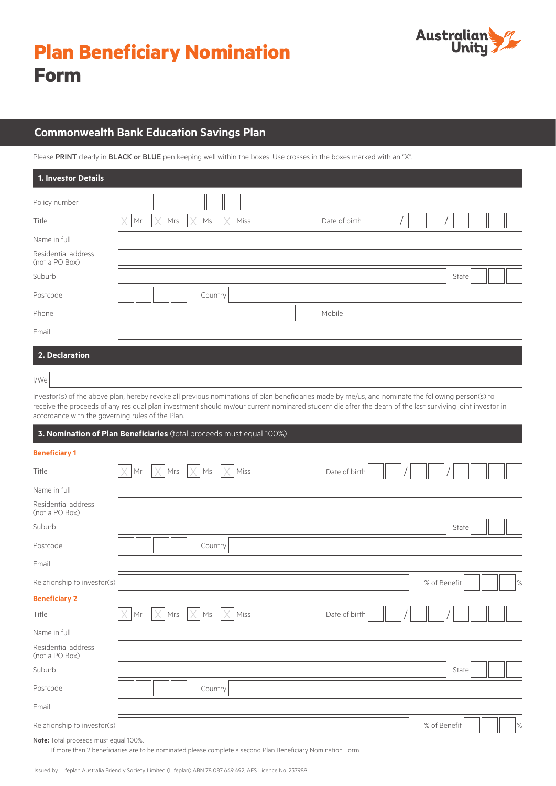

# **Commonwealth Bank Education Savings Plan**

Please PRINT clearly in BLACK or BLUE pen keeping well within the boxes. Use crosses in the boxes marked with an "X".

| 1. Investor Details                   |                                                                           |
|---------------------------------------|---------------------------------------------------------------------------|
| Policy number                         |                                                                           |
| Title                                 | $\times$<br>X<br>Mrs<br>Miss<br>Date of birth<br>X<br>$\mathsf{Ms}$<br>Mr |
| Name in full                          |                                                                           |
| Residential address<br>(not a PO Box) |                                                                           |
| Suburb                                | State                                                                     |
| Postcode                              | Country                                                                   |
| Phone                                 | Mobile                                                                    |
| Email                                 |                                                                           |
| 2. Declaration                        |                                                                           |
| I/We                                  |                                                                           |

Investor(s) of the above plan, hereby revoke all previous nominations of plan beneficiaries made by me/us, and nominate the following person(s) to receive the proceeds of any residual plan investment should my/our current nominated student die after the death of the last surviving joint investor in accordance with the governing rules of the Plan.

| 3. Nomination of Plan Beneficiaries (total proceeds must equal 100%) |    |          |         |      |               |  |              |       |      |
|----------------------------------------------------------------------|----|----------|---------|------|---------------|--|--------------|-------|------|
| <b>Beneficiary 1</b>                                                 |    |          |         |      |               |  |              |       |      |
| Title                                                                | Mr | X<br>Mrs | Ms      | Miss | Date of birth |  |              |       |      |
| Name in full                                                         |    |          |         |      |               |  |              |       |      |
| Residential address<br>(not a PO Box)                                |    |          |         |      |               |  |              |       |      |
| Suburb                                                               |    |          |         |      |               |  |              | State |      |
| Postcode                                                             |    |          | Country |      |               |  |              |       |      |
| Email                                                                |    |          |         |      |               |  |              |       |      |
| Relationship to investor(s)                                          |    |          |         |      |               |  | % of Benefit |       | $\%$ |
| <b>Beneficiary 2</b>                                                 |    |          |         |      |               |  |              |       |      |
| Title                                                                | Mr | Mrs      | Ms      | Miss | Date of birth |  |              |       |      |
| Name in full                                                         |    |          |         |      |               |  |              |       |      |
| Residential address<br>(not a PO Box)                                |    |          |         |      |               |  |              |       |      |
| Suburb                                                               |    |          |         |      |               |  |              | State |      |
| Postcode                                                             |    |          | Country |      |               |  |              |       |      |
| Email                                                                |    |          |         |      |               |  |              |       |      |
| Relationship to investor(s)                                          |    |          |         |      |               |  | % of Benefit |       | $\%$ |
| Note: Total proceeds must equal 100%.                                |    |          |         |      |               |  |              |       |      |

If more than 2 beneficiaries are to be nominated please complete a second Plan Beneficiary Nomination Form.